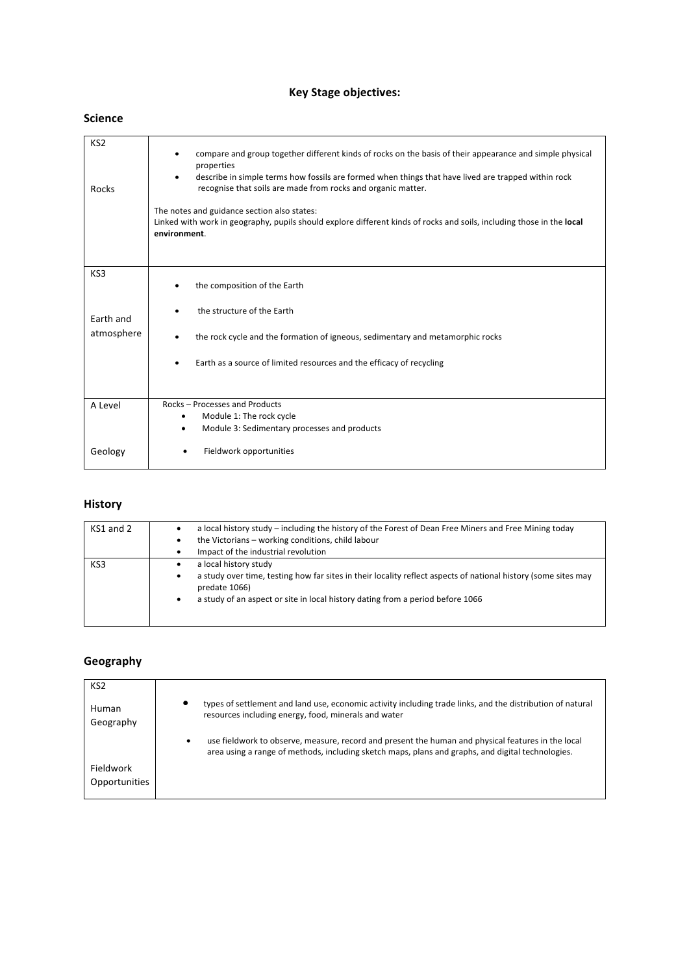## **Key Stage objectives:**

#### **Science**

| KS <sub>2</sub><br>Rocks       | compare and group together different kinds of rocks on the basis of their appearance and simple physical<br>٠<br>properties<br>describe in simple terms how fossils are formed when things that have lived are trapped within rock<br>٠<br>recognise that soils are made from rocks and organic matter.<br>The notes and guidance section also states:<br>Linked with work in geography, pupils should explore different kinds of rocks and soils, including those in the local<br>environment. |
|--------------------------------|-------------------------------------------------------------------------------------------------------------------------------------------------------------------------------------------------------------------------------------------------------------------------------------------------------------------------------------------------------------------------------------------------------------------------------------------------------------------------------------------------|
| KS3<br>Earth and<br>atmosphere | the composition of the Earth<br>٠<br>the structure of the Earth<br>the rock cycle and the formation of igneous, sedimentary and metamorphic rocks<br>٠<br>Earth as a source of limited resources and the efficacy of recycling                                                                                                                                                                                                                                                                  |
| A Level                        | Rocks - Processes and Products<br>Module 1: The rock cycle<br>$\bullet$<br>Module 3: Sedimentary processes and products<br>٠                                                                                                                                                                                                                                                                                                                                                                    |
| Geology                        | Fieldwork opportunities                                                                                                                                                                                                                                                                                                                                                                                                                                                                         |

# **History**

| KS1 and 2 | a local history study - including the history of the Forest of Dean Free Miners and Free Mining today<br>٠<br>the Victorians - working conditions, child labour<br>٠<br>Impact of the industrial revolution                                               |
|-----------|-----------------------------------------------------------------------------------------------------------------------------------------------------------------------------------------------------------------------------------------------------------|
| KS3       | a local history study<br>٠<br>a study over time, testing how far sites in their locality reflect aspects of national history (some sites may<br>٠<br>predate 1066)<br>a study of an aspect or site in local history dating from a period before 1066<br>٠ |

# **Geography**

| KS <sub>2</sub>    |                                                                                                                                                                                                         |
|--------------------|---------------------------------------------------------------------------------------------------------------------------------------------------------------------------------------------------------|
| Human<br>Geography | types of settlement and land use, economic activity including trade links, and the distribution of natural<br>٠<br>resources including energy, food, minerals and water                                 |
|                    | use fieldwork to observe, measure, record and present the human and physical features in the local<br>area using a range of methods, including sketch maps, plans and graphs, and digital technologies. |
| Fieldwork          |                                                                                                                                                                                                         |
| Opportunities      |                                                                                                                                                                                                         |